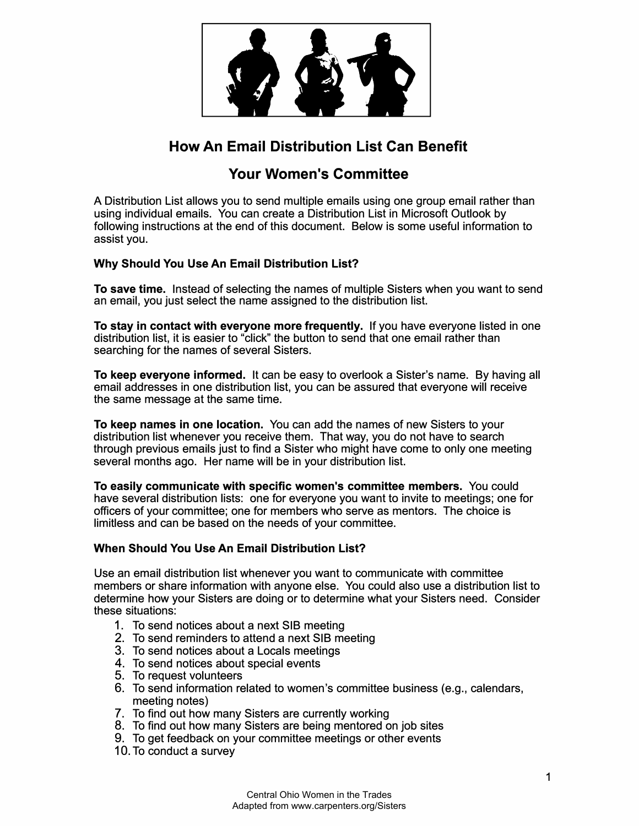

# **How An Email Distribution List Can Benefit**

## **Your Women's Committee**

A Distribution List allows you to send multiple emails using one group email rather than using individual emails. You can create a Distribution List in Microsoft Outlook by following instructions at the end of this document. Below is some useful information to assist you.

## **Why Should You Use An Email Distribution List?**

**To save time.** Instead of selecting the names of multiple Sisters when you want to send an email, you just select the name assigned to the distribution list.

**To stay in contact with everyone more frequently.** If you have everyone listed in one distribution list, it is easier to "click" the button to send that one email rather than searching for the names of several Sisters.

**To keep everyone informed.** It can be easy to overlook a Sister's name. By having all email addresses in one distribution list, you can be assured that everyone will receive the same message at the same time.

**To keep names in one location.** You can add the names of new Sisters to your distribution list whenever you receive them. That way, you do not have to search through previous emails just to find a Sister who might have come to only one meeting several months ago. Her name will be in your distribution list.

**To easily communicate with specific women's committee members.** You could have several distribution lists: one for everyone you want to invite to meetings; one for officers of your committee; one for members who serve as mentors. The choice is limitless and can be based on the needs of your committee.

## **When Should You Use An Email Distribution List?**

Use an email distribution list whenever you want to communicate with committee members or share information with anyone else. You could also use a distribution list to determine how your Sisters are doing or to determine what your Sisters need. Consider these situations:

- 1. To send notices about a next SIB meeting
- 2. To send reminders to attend a next SIB meeting
- 3. To send notices about a Locals meetings
- 4. To send notices about special events
- 5. To request volunteers
- 6. To send information related to women's committee business (e.g., calendars, meeting notes)
- 7. To find out how many Sisters are currently working
- 8. To find out how many Sisters are being mentored on job sites
- 9. To get feedback on your committee meetings or other events
- 10. To conduct a survey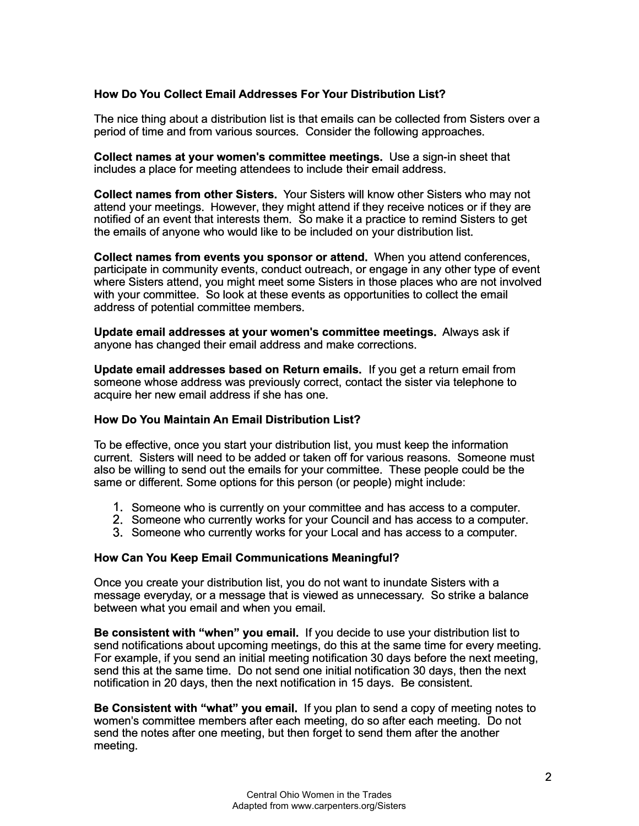#### **How Do You Collect Email Addresses For Your Distribution List?**

The nice thing about a distribution list is that emails can be collected from Sisters over a period of time and from various sources. Consider the following approaches.

**Collect names at your women's committee meetings.** Use a sign-in sheet that includes a place for meeting attendees to include their email address.

**Collect names from other Sisters.** Your Sisters will know other Sisters who may not attend your meetings. However, they might attend if they receive notices or if they are notified of an event that interests them. So make it a practice to remind Sisters to get the emails of anyone who would like to be included on your distribution list.

**Collect names from events you sponsor or attend.** When you attend conferences, participate in community events, conduct outreach, or engage in any other type of event where Sisters attend, you might meet some Sisters in those places who are not involved with your committee. So look at these events as opportunities to collect the email address of potential committee members.

**Update email addresses at your women's committee meetings.** Always ask if anyone has changed their email address and make corrections.

**Update email addresses based on Return emails.** If you get a return email from someone whose address was previously correct, contact the sister via telephone to acquire her new email address if she has one.

#### **How Do You Maintain An Email Distribution List?**

To be effective, once you start your distribution list, you must keep the information current. Sisters will need to be added or taken off for various reasons. Someone must also be willing to send out the emails for your committee. These people could be the same or different. Some options for this person (or people) might include:

- 1. Someone who is currently on your committee and has access to a computer.
- 2. Someone who currently works for your Council and has access to a computer.
- 3. Someone who currently works for your Local and has access to a computer.

#### **How Can You Keep Email Communications Meaningful?**

Once you create your distribution list, you do not want to inundate Sisters with a message everyday, or a message that is viewed as unnecessary. So strike a balance between what you email and when you email.

**Be consistent with "when" you email.** If you decide to use your distribution list to send notifications about upcoming meetings, do this at the same time for every meeting. For example, if you send an initial meeting notification 30 days before the next meeting, send this at the same time. Do not send one initial notification 30 days, then the next notification in 20 days, then the next notification in 15 days. Be consistent.

**Be Consistent with "what" you email.** If you plan to send a copy of meeting notes to women's committee members after each meeting, do so after each meeting. Do not send the notes after one meeting, but then forget to send them after the another meeting.